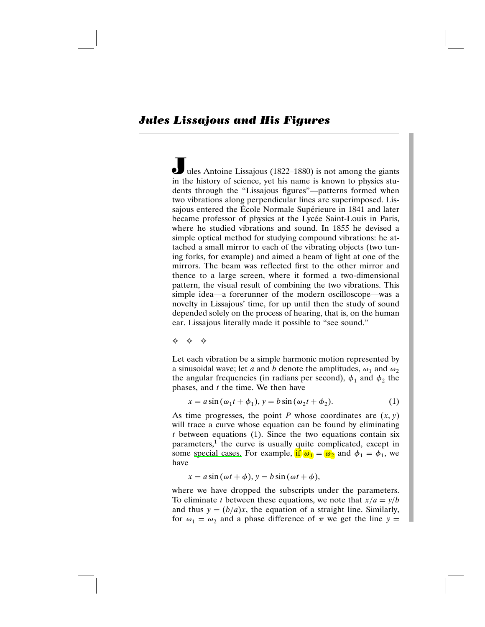Jules Antoine Lissajous (1822–1880) is not among the giants in the history of science, yet his name is known to physics students through the "Lissajous figures"—patterns formed when two vibrations along perpendicular lines are superimposed. Lissajous entered the École Normale Supérieure in 1841 and later became professor of physics at the Lycée Saint-Louis in Paris, where he studied vibrations and sound. In 1855 he devised a simple optical method for studying compound vibrations: he attached a small mirror to each of the vibrating objects (two tuning forks, for example) and aimed a beam of light at one of the mirrors. The beam was reflected first to the other mirror and thence to a large screen, where it formed a two-dimensional pattern, the visual result of combining the two vibrations. This simple idea—a forerunner of the modern oscilloscope—was a novelty in Lissajous' time, for up until then the study of sound depended solely on the process of hearing, that is, on the human ear. Lissajous literally made it possible to "see sound."

✧✧✧

Let each vibration be a simple harmonic motion represented by a sinusoidal wave; let a and b denote the amplitudes,  $\omega_1$  and  $\omega_2$ the angular frequencies (in radians per second),  $\phi_1$  and  $\phi_2$  the phases, and  $t$  the time. We then have

$$
x = a\sin(\omega_1 t + \phi_1), y = b\sin(\omega_2 t + \phi_2). \tag{1}
$$

As time progresses, the point P whose coordinates are  $(x, y)$ will trace a curve whose equation can be found by eliminating  $t$  between equations (1). Since the two equations contain six parameters,<sup>1</sup> the curve is usually quite complicated, except in some special cases. For example, if  $\omega_1 = \omega_2$  and  $\phi_1 = \phi_1$ , we have

$$
x = a\sin(\omega t + \phi), y = b\sin(\omega t + \phi),
$$

where we have dropped the subscripts under the parameters. To eliminate t between these equations, we note that  $x/a = y/b$ and thus  $y = (b/a)x$ , the equation of a straight line. Similarly, for  $\omega_1 = \omega_2$  and a phase difference of  $\pi$  we get the line  $y =$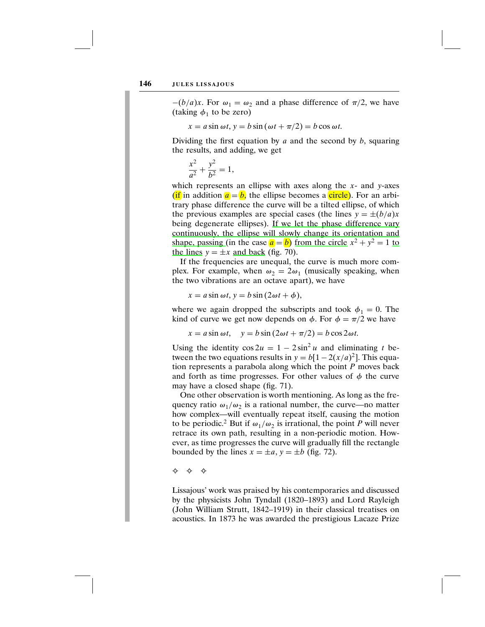$-(b/a)x$ . For  $\omega_1 = \omega_2$  and a phase difference of  $\pi/2$ , we have (taking  $\phi_1$  to be zero)

$$
x = a\sin\omega t, y = b\sin(\omega t + \pi/2) = b\cos\omega t.
$$

Dividing the first equation by  $a$  and the second by  $b$ , squaring the results, and adding, we get

$$
\frac{x^2}{a^2} + \frac{y^2}{b^2} = 1,
$$

which represents an ellipse with axes along the  $x$ - and  $y$ -axes (if in addition  $a = b$ , the ellipse becomes a circle). For an arbitrary phase difference the curve will be a tilted ellipse, of which the previous examples are special cases (the lines  $y = \pm (b/a)x$ being degenerate ellipses). If we let the phase difference vary continuously, the ellipse will slowly change its orientation and shape, passing (in the case  $\mathbf{a} = \mathbf{b}$ ) from the circle  $x^2 + y^2 = 1$  to the lines  $y = \pm x$  and back (fig. 70).

If the frequencies are unequal, the curve is much more complex. For example, when  $\omega_2 = 2\omega_1$  (musically speaking, when the two vibrations are an octave apart), we have

 $x = a \sin \omega t$ ,  $y = b \sin (2\omega t + \phi)$ ,

where we again dropped the subscripts and took  $\phi_1 = 0$ . The kind of curve we get now depends on  $\phi$ . For  $\phi = \pi/2$  we have

$$
x = a \sin \omega t
$$
,  $y = b \sin (2\omega t + \pi/2) = b \cos 2\omega t$ .

Using the identity  $\cos 2u = 1 - 2 \sin^2 u$  and eliminating t between the two equations results in  $y = b[1 - 2(x/a)^2]$ . This equation represents a parabola along which the point  $P$  moves back and forth as time progresses. For other values of  $\phi$  the curve may have a closed shape (fig. 71).

One other observation is worth mentioning. As long as the frequency ratio  $\omega_1/\omega_2$  is a rational number, the curve—no matter how complex—will eventually repeat itself, causing the motion to be periodic.<sup>2</sup> But if  $\omega_1/\omega_2$  is irrational, the point P will never retrace its own path, resulting in a non-periodic motion. However, as time progresses the curve will gradually fill the rectangle bounded by the lines  $x = \pm a$ ,  $y = \pm b$  (fig. 72).

✧✧✧

Lissajous' work was praised by his contemporaries and discussed by the physicists John Tyndall (1820–1893) and Lord Rayleigh (John William Strutt, 1842–1919) in their classical treatises on acoustics. In 1873 he was awarded the prestigious Lacaze Prize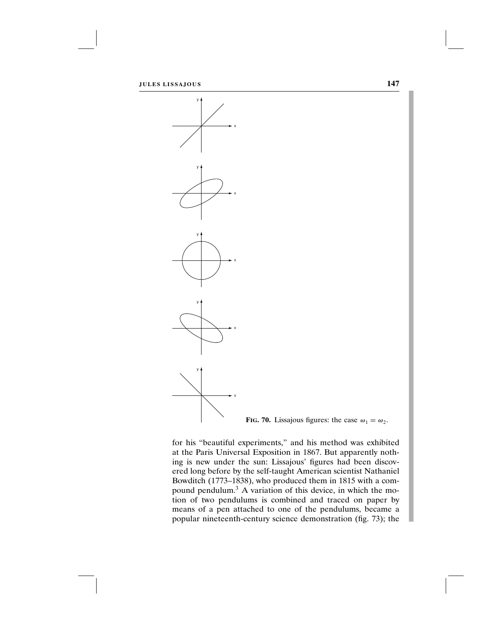



for his "beautiful experiments," and his method was exhibited at the Paris Universal Exposition in 1867. But apparently nothing is new under the sun: Lissajous' figures had been discovered long before by the self-taught American scientist Nathaniel Bowditch (1773–1838), who produced them in 1815 with a compound pendulum.<sup>3</sup> A variation of this device, in which the motion of two pendulums is combined and traced on paper by means of a pen attached to one of the pendulums, became a popular nineteenth-century science demonstration (fig. 73); the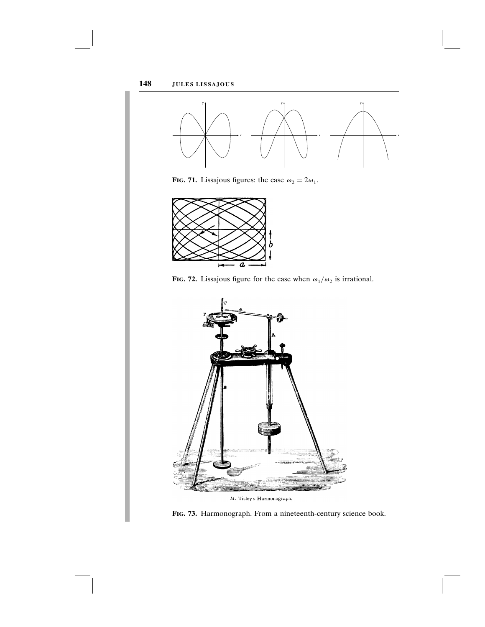

FIG. 71. Lissajous figures: the case  $\omega_2 = 2\omega_1$ .



FIG. 72. Lissajous figure for the case when  $\omega_1/\omega_2$  is irrational.



M. Tisley s Harmonograph.

Fig. 73. Harmonograph. From a nineteenth-century science book.